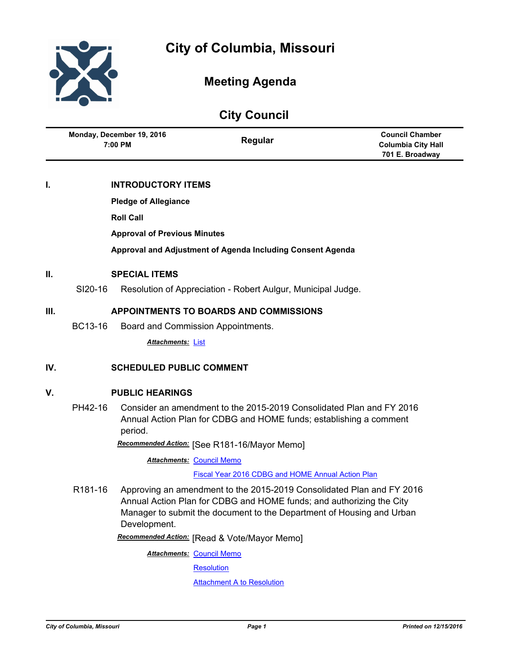

# **Meeting Agenda**

**City Council**

| YNY YVUNUN |                                      |                                               |                                                                      |                                                                        |
|------------|--------------------------------------|-----------------------------------------------|----------------------------------------------------------------------|------------------------------------------------------------------------|
|            | Monday, December 19, 2016<br>7:00 PM |                                               | Regular                                                              | <b>Council Chamber</b><br><b>Columbia City Hall</b><br>701 E. Broadway |
| I.         |                                      | <b>INTRODUCTORY ITEMS</b>                     |                                                                      |                                                                        |
|            |                                      | <b>Pledge of Allegiance</b>                   |                                                                      |                                                                        |
|            |                                      | <b>Roll Call</b>                              |                                                                      |                                                                        |
|            |                                      | <b>Approval of Previous Minutes</b>           |                                                                      |                                                                        |
|            |                                      |                                               | Approval and Adjustment of Agenda Including Consent Agenda           |                                                                        |
| II.        | <b>SPECIAL ITEMS</b>                 |                                               |                                                                      |                                                                        |
|            | SI20-16                              |                                               | Resolution of Appreciation - Robert Aulgur, Municipal Judge.         |                                                                        |
| III.       |                                      | <b>APPOINTMENTS TO BOARDS AND COMMISSIONS</b> |                                                                      |                                                                        |
|            | BC13-16                              |                                               | Board and Commission Appointments.                                   |                                                                        |
|            |                                      | Attachments: List                             |                                                                      |                                                                        |
| IV.        |                                      | <b>SCHEDULED PUBLIC COMMENT</b>               |                                                                      |                                                                        |
| V.         | <b>PUBLIC HEARINGS</b>               |                                               |                                                                      |                                                                        |
|            | PH42-16                              |                                               | Consider an amendment to the 2015-2019 Consolidated Plan and FY 2016 |                                                                        |

Annual Action Plan for CDBG and HOME funds; establishing a comment period.

*Recommended Action:* [See R181-16/Mayor Memo]

**Attachments: [Council Memo](http://gocolumbiamo.legistar.com/gateway.aspx?M=F&ID=3187e28e-2e93-4a2f-809e-82721ab0a649.docx)** 

[Fiscal Year 2016 CDBG and HOME Annual Action Plan](http://gocolumbiamo.legistar.com/gateway.aspx?M=F&ID=24a3651b-0cf8-4d25-960f-83a0c2b66d46.pdf)

R181-16 Approving an amendment to the 2015-2019 Consolidated Plan and FY 2016 Annual Action Plan for CDBG and HOME funds; and authorizing the City Manager to submit the document to the Department of Housing and Urban Development.

*Recommended Action:* [Read & Vote/Mayor Memo]

**Attachments: [Council Memo](http://gocolumbiamo.legistar.com/gateway.aspx?M=F&ID=e8c9ca33-76df-4673-8429-8c9e32cc9ce6.docx)** 

**[Resolution](http://gocolumbiamo.legistar.com/gateway.aspx?M=F&ID=bb98eace-cebe-4455-a9e0-56fb3a4abafe.doc)** 

**[Attachment A to Resolution](http://gocolumbiamo.legistar.com/gateway.aspx?M=F&ID=42ca1fad-c36f-4b56-948f-bba45b346b17.docx)**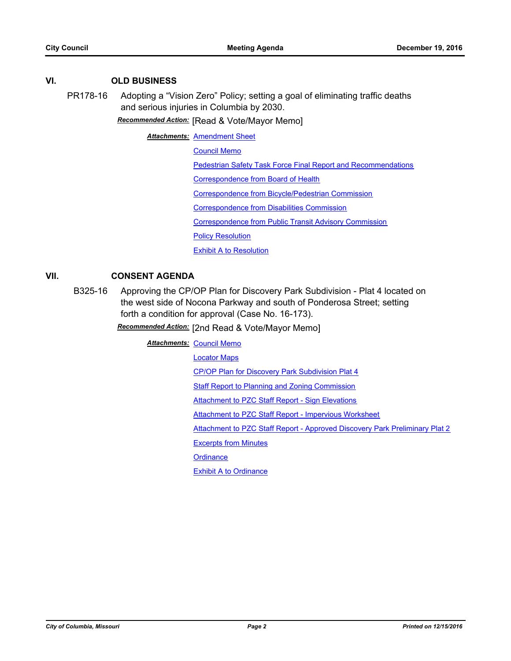## **VI. OLD BUSINESS**

PR178-16 Adopting a "Vision Zero" Policy; setting a goal of eliminating traffic deaths and serious injuries in Columbia by 2030.

*Recommended Action:* [Read & Vote/Mayor Memo]

**Attachments: [Amendment Sheet](http://gocolumbiamo.legistar.com/gateway.aspx?M=F&ID=8be87b7d-63f2-4c60-9906-2032ea4213c9.doc)** 

[Council Memo](http://gocolumbiamo.legistar.com/gateway.aspx?M=F&ID=f9c1f710-5540-471b-9e26-d2f5a8ca199c.docx)

[Pedestrian Safety Task Force Final Report and Recommendations](http://gocolumbiamo.legistar.com/gateway.aspx?M=F&ID=7979ba45-a233-41e2-953c-9d979b4147f0.pdf)

[Correspondence from Board of Health](http://gocolumbiamo.legistar.com/gateway.aspx?M=F&ID=0e28192b-22ec-4b14-a71c-10697c5e010a.pdf)

[Correspondence from Bicycle/Pedestrian Commission](http://gocolumbiamo.legistar.com/gateway.aspx?M=F&ID=960784e4-7900-4537-b8d9-32ceda7ebbb6.doc)

[Correspondence from Disabilities Commission](http://gocolumbiamo.legistar.com/gateway.aspx?M=F&ID=f4fdf14e-368f-41da-82aa-b576f8ad5a7b.doc)

[Correspondence from Public Transit Advisory Commission](http://gocolumbiamo.legistar.com/gateway.aspx?M=F&ID=0c1e3bbf-e202-44c1-9f93-2c08e7173c9a.doc)

**[Policy Resolution](http://gocolumbiamo.legistar.com/gateway.aspx?M=F&ID=e476db53-2b11-4291-b38a-dd285686668f.doc)** 

[Exhibit A to Resolution](http://gocolumbiamo.legistar.com/gateway.aspx?M=F&ID=e1b03852-c4eb-44b7-bbec-f6c39001893a.docx)

## **VII. CONSENT AGENDA**

B325-16 Approving the CP/OP Plan for Discovery Park Subdivision - Plat 4 located on the west side of Nocona Parkway and south of Ponderosa Street; setting forth a condition for approval (Case No. 16-173).

*Recommended Action:* [2nd Read & Vote/Mayor Memo]

**Attachments: [Council Memo](http://gocolumbiamo.legistar.com/gateway.aspx?M=F&ID=fc72776d-a0b2-4833-8856-dc8c5f0651e5.docx)** 

[Locator Maps](http://gocolumbiamo.legistar.com/gateway.aspx?M=F&ID=2703458f-8d59-495d-8912-d5151c501bc6.pdf)

[CP/OP Plan for Discovery Park Subdivision Plat 4](http://gocolumbiamo.legistar.com/gateway.aspx?M=F&ID=251d9bc8-8829-49a1-b731-19c904e38e57.pdf)

[Staff Report to Planning and Zoning Commission](http://gocolumbiamo.legistar.com/gateway.aspx?M=F&ID=ac19fd5e-93c4-47bd-b3aa-ff018a572d88.pdf)

**[Attachment to PZC Staff Report - Sign Elevations](http://gocolumbiamo.legistar.com/gateway.aspx?M=F&ID=b95180bb-a082-4ee1-99b2-7ce6fcd88ba4.pdf)** 

[Attachment to PZC Staff Report - Impervious Worksheet](http://gocolumbiamo.legistar.com/gateway.aspx?M=F&ID=114af466-3180-4178-b980-45952add2d48.pdf)

[Attachment to PZC Staff Report - Approved Discovery Park Preliminary Plat 2](http://gocolumbiamo.legistar.com/gateway.aspx?M=F&ID=93380af6-e939-4622-8f0a-19a5961d3418.pdf)

[Excerpts from Minutes](http://gocolumbiamo.legistar.com/gateway.aspx?M=F&ID=9d0c34de-c6d1-477b-9c3a-0e0330625c79.docx)

**[Ordinance](http://gocolumbiamo.legistar.com/gateway.aspx?M=F&ID=69d51182-7bc8-448e-b893-a08920562f9e.doc)**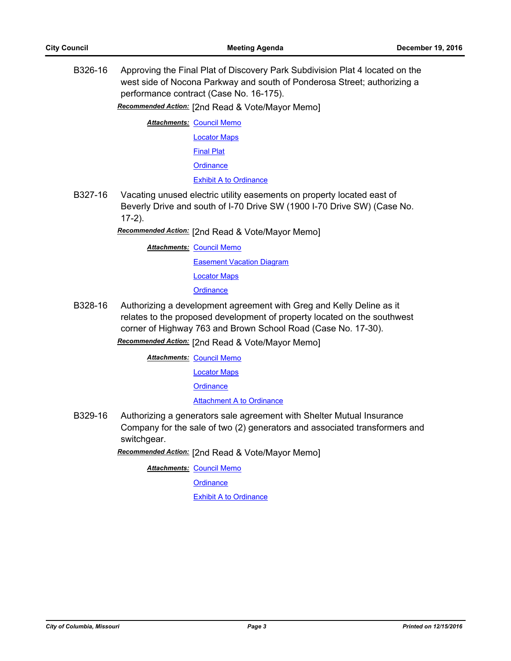B326-16 Approving the Final Plat of Discovery Park Subdivision Plat 4 located on the west side of Nocona Parkway and south of Ponderosa Street; authorizing a performance contract (Case No. 16-175).

*Recommended Action:* [2nd Read & Vote/Mayor Memo]

**Attachments: [Council Memo](http://gocolumbiamo.legistar.com/gateway.aspx?M=F&ID=0a7269b8-ef05-440d-a381-11fe1e36229f.docx)** 

- [Locator Maps](http://gocolumbiamo.legistar.com/gateway.aspx?M=F&ID=4d277249-c73c-4fa9-85ad-36d33d81927c.pdf)
- [Final Plat](http://gocolumbiamo.legistar.com/gateway.aspx?M=F&ID=432b00a0-27d7-4dae-a49c-c608a323201a.pdf)
- **[Ordinance](http://gocolumbiamo.legistar.com/gateway.aspx?M=F&ID=b4e3dc5c-c92c-49a7-81bb-35f1b6c95157.doc)**

**[Exhibit A to Ordinance](http://gocolumbiamo.legistar.com/gateway.aspx?M=F&ID=7d166cec-da52-45f1-ad30-11fe8a83df91.pdf)** 

B327-16 Vacating unused electric utility easements on property located east of Beverly Drive and south of I-70 Drive SW (1900 I-70 Drive SW) (Case No. 17-2).

*Recommended Action:* [2nd Read & Vote/Mayor Memo]

**Attachments: [Council Memo](http://gocolumbiamo.legistar.com/gateway.aspx?M=F&ID=931a80e3-66ca-4ff3-ab7b-246f6e43ce5a.docx) [Easement Vacation Diagram](http://gocolumbiamo.legistar.com/gateway.aspx?M=F&ID=18480152-85a7-423b-8102-484dd5a056c3.pdf)** [Locator Maps](http://gocolumbiamo.legistar.com/gateway.aspx?M=F&ID=9f9c8596-d992-43bf-9d14-cd6af512a5f5.pdf) **[Ordinance](http://gocolumbiamo.legistar.com/gateway.aspx?M=F&ID=1baeab02-7483-4022-9739-57fa6358e5ec.doc)** 

B328-16 Authorizing a development agreement with Greg and Kelly Deline as it relates to the proposed development of property located on the southwest corner of Highway 763 and Brown School Road (Case No. 17-30).

*Recommended Action:* [2nd Read & Vote/Mayor Memo]

**Attachments: [Council Memo](http://gocolumbiamo.legistar.com/gateway.aspx?M=F&ID=0f18f159-5603-46b7-9945-f9f02c6967aa.docx)** 

[Locator Maps](http://gocolumbiamo.legistar.com/gateway.aspx?M=F&ID=345fe776-3760-4ed7-828c-e40f243178c4.pdf)

**[Ordinance](http://gocolumbiamo.legistar.com/gateway.aspx?M=F&ID=1da4c32a-9e2b-4c7c-8ac6-7cc5cb48a1bf.doc)** 

[Attachment A to Ordinance](http://gocolumbiamo.legistar.com/gateway.aspx?M=F&ID=08c84be4-5344-4b6b-9723-48906f3ab67f.pdf)

B329-16 Authorizing a generators sale agreement with Shelter Mutual Insurance Company for the sale of two (2) generators and associated transformers and switchgear.

*Recommended Action:* [2nd Read & Vote/Mayor Memo]

**Attachments: [Council Memo](http://gocolumbiamo.legistar.com/gateway.aspx?M=F&ID=24342bc9-cdc8-4be2-b041-ffd921e96944.docx)** 

**[Ordinance](http://gocolumbiamo.legistar.com/gateway.aspx?M=F&ID=986993e8-05c0-421f-9ed3-d419f46aad07.doc)**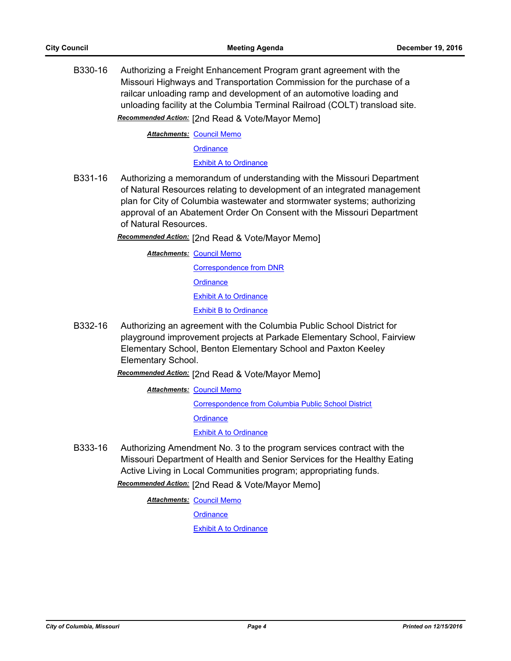B330-16 Authorizing a Freight Enhancement Program grant agreement with the Missouri Highways and Transportation Commission for the purchase of a railcar unloading ramp and development of an automotive loading and unloading facility at the Columbia Terminal Railroad (COLT) transload site. *Recommended Action:* [2nd Read & Vote/Mayor Memo]

**Attachments: [Council Memo](http://gocolumbiamo.legistar.com/gateway.aspx?M=F&ID=d012359a-1357-4b0c-a136-eb6638705327.docx)** 

**[Ordinance](http://gocolumbiamo.legistar.com/gateway.aspx?M=F&ID=0fe9160c-e99c-40f8-882e-f01b3404f6d5.doc)** 

[Exhibit A to Ordinance](http://gocolumbiamo.legistar.com/gateway.aspx?M=F&ID=420f29f0-a943-487d-9414-27d012de0dce.pdf)

B331-16 Authorizing a memorandum of understanding with the Missouri Department of Natural Resources relating to development of an integrated management plan for City of Columbia wastewater and stormwater systems; authorizing approval of an Abatement Order On Consent with the Missouri Department of Natural Resources.

*Recommended Action:* [2nd Read & Vote/Mayor Memo]

**Attachments: [Council Memo](http://gocolumbiamo.legistar.com/gateway.aspx?M=F&ID=bfcaaeba-df38-4f61-b859-a2a93695a69d.docx)** 

[Correspondence from DNR](http://gocolumbiamo.legistar.com/gateway.aspx?M=F&ID=986e7207-0a07-4cf9-a24a-c8922030a76c.pdf) **[Ordinance](http://gocolumbiamo.legistar.com/gateway.aspx?M=F&ID=78ec81e4-6227-40fa-812b-fb0c5250c564.doc)** 

[Exhibit A to Ordinance](http://gocolumbiamo.legistar.com/gateway.aspx?M=F&ID=d8027e9d-a8aa-411d-8869-4c968d64d14f.pdf)

[Exhibit B to Ordinance](http://gocolumbiamo.legistar.com/gateway.aspx?M=F&ID=d0c12183-d4fa-4251-b331-8ee9e5a21bcb.pdf)

B332-16 Authorizing an agreement with the Columbia Public School District for playground improvement projects at Parkade Elementary School, Fairview Elementary School, Benton Elementary School and Paxton Keeley Elementary School.

*Recommended Action:* [2nd Read & Vote/Mayor Memo]

**Attachments: [Council Memo](http://gocolumbiamo.legistar.com/gateway.aspx?M=F&ID=eae3fa66-7aaf-47e7-881c-f7a4c20a36e2.docx)** 

[Correspondence from Columbia Public School District](http://gocolumbiamo.legistar.com/gateway.aspx?M=F&ID=fda30954-9faf-4d73-9c6d-0338865dbe73.pdf)

**[Ordinance](http://gocolumbiamo.legistar.com/gateway.aspx?M=F&ID=e4d24c72-0336-47b7-a60e-205783d643a7.doc)** 

[Exhibit A to Ordinance](http://gocolumbiamo.legistar.com/gateway.aspx?M=F&ID=6d3daeb6-c65f-49c8-8f6a-1cc658a50c9a.doc)

B333-16 Authorizing Amendment No. 3 to the program services contract with the Missouri Department of Health and Senior Services for the Healthy Eating Active Living in Local Communities program; appropriating funds.

*Recommended Action:* [2nd Read & Vote/Mayor Memo]

**Attachments: [Council Memo](http://gocolumbiamo.legistar.com/gateway.aspx?M=F&ID=3c52e7fe-5024-4f5b-abd0-8f74afa2b0ce.docx)** 

**[Ordinance](http://gocolumbiamo.legistar.com/gateway.aspx?M=F&ID=5defd074-f8fe-4782-9574-89caf1015322.doc)**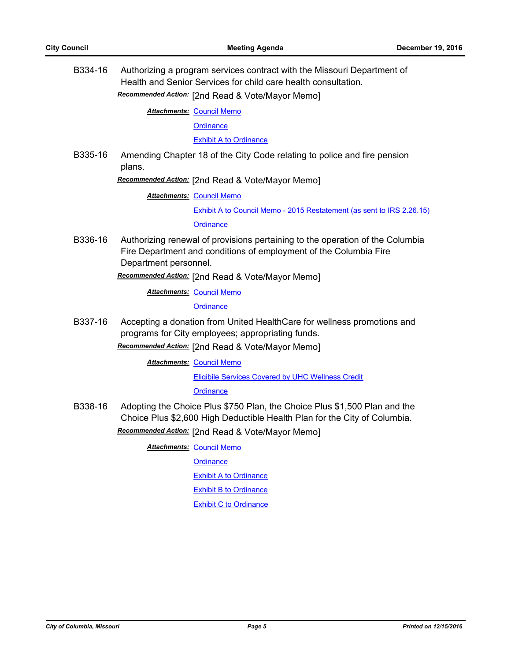B334-16 Authorizing a program services contract with the Missouri Department of Health and Senior Services for child care health consultation. *Recommended Action:* [2nd Read & Vote/Mayor Memo]

**Attachments: [Council Memo](http://gocolumbiamo.legistar.com/gateway.aspx?M=F&ID=4f3a2131-7f78-42fe-ae90-e6eac73729c8.docx)** 

**[Ordinance](http://gocolumbiamo.legistar.com/gateway.aspx?M=F&ID=a19f5817-bb96-4424-bfeb-fdaeca19ec97.doc)** 

[Exhibit A to Ordinance](http://gocolumbiamo.legistar.com/gateway.aspx?M=F&ID=d6374e13-7b24-4795-a228-1450eb215f90.pdf)

B335-16 Amending Chapter 18 of the City Code relating to police and fire pension plans.

*Recommended Action:* [2nd Read & Vote/Mayor Memo]

**Attachments: [Council Memo](http://gocolumbiamo.legistar.com/gateway.aspx?M=F&ID=24687b6b-026f-4197-a80c-55481cbc6015.docx)** 

[Exhibit A to Council Memo - 2015 Restatement \(as sent to IRS 2.26.15\)](http://gocolumbiamo.legistar.com/gateway.aspx?M=F&ID=59459a82-8ef4-402d-af62-f7db54cef4e2.doc)

**[Ordinance](http://gocolumbiamo.legistar.com/gateway.aspx?M=F&ID=a6b60f99-0f25-47c9-b79e-81a3beec212f.doc)** 

B336-16 Authorizing renewal of provisions pertaining to the operation of the Columbia Fire Department and conditions of employment of the Columbia Fire Department personnel.

*Recommended Action:* [2nd Read & Vote/Mayor Memo]

**Attachments: [Council Memo](http://gocolumbiamo.legistar.com/gateway.aspx?M=F&ID=0cfb44e4-9958-49c0-8fca-e47f4dbbd355.docx)** 

**[Ordinance](http://gocolumbiamo.legistar.com/gateway.aspx?M=F&ID=65a85449-9a9d-4b1c-8350-d4a2b5edce99.doc)** 

B337-16 Accepting a donation from United HealthCare for wellness promotions and programs for City employees; appropriating funds.

*Recommended Action:* [2nd Read & Vote/Mayor Memo]

**Attachments: [Council Memo](http://gocolumbiamo.legistar.com/gateway.aspx?M=F&ID=698b96e9-e956-4828-be62-12215d51d41b.docx)** 

[Eligibile Services Covered by UHC Wellness Credit](http://gocolumbiamo.legistar.com/gateway.aspx?M=F&ID=cff78255-e3f5-494b-a901-30761d785741.pdf)

**[Ordinance](http://gocolumbiamo.legistar.com/gateway.aspx?M=F&ID=9bb6af9a-c6b7-4507-b7b2-2f0eedab70a0.doc)** 

B338-16 Adopting the Choice Plus \$750 Plan, the Choice Plus \$1,500 Plan and the Choice Plus \$2,600 High Deductible Health Plan for the City of Columbia. *Recommended Action:* [2nd Read & Vote/Mayor Memo]

**Attachments: [Council Memo](http://gocolumbiamo.legistar.com/gateway.aspx?M=F&ID=40397106-e634-44d2-9aa5-efa33a4de4c9.docx)** 

**[Ordinance](http://gocolumbiamo.legistar.com/gateway.aspx?M=F&ID=6decee2c-4fca-44ae-bcd9-edd322788741.doc)** 

[Exhibit A to Ordinance](http://gocolumbiamo.legistar.com/gateway.aspx?M=F&ID=29e47d0d-b7c7-4136-aade-9941afe15399.pdf)

[Exhibit B to Ordinance](http://gocolumbiamo.legistar.com/gateway.aspx?M=F&ID=f58defda-2e76-4a49-abf8-8e1b14405f60.pdf)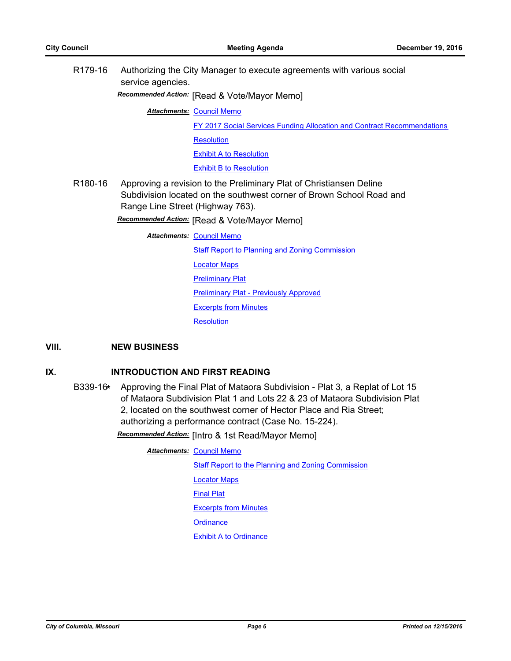R179-16 Authorizing the City Manager to execute agreements with various social service agencies.

*Recommended Action:* [Read & Vote/Mayor Memo]

**Attachments: [Council Memo](http://gocolumbiamo.legistar.com/gateway.aspx?M=F&ID=193a4a8e-1f0f-42ec-9fd4-91cfa0f5f909.docx)** 

[FY 2017 Social Services Funding Allocation and Contract Recommendations](http://gocolumbiamo.legistar.com/gateway.aspx?M=F&ID=995e3ba6-6c11-41db-8f3d-582092847e05.pdf)

**[Resolution](http://gocolumbiamo.legistar.com/gateway.aspx?M=F&ID=62d478a1-4ead-4c27-be38-43a83d844c39.doc)** 

[Exhibit A to Resolution](http://gocolumbiamo.legistar.com/gateway.aspx?M=F&ID=5f7765be-fbb4-446c-8ba6-f73ee78636f6.pdf)

[Exhibit B to Resolution](http://gocolumbiamo.legistar.com/gateway.aspx?M=F&ID=8265f073-ebb9-4410-9510-15487b80c8d2.docx)

R180-16 Approving a revision to the Preliminary Plat of Christiansen Deline Subdivision located on the southwest corner of Brown School Road and Range Line Street (Highway 763).

*Recommended Action:* [Read & Vote/Mayor Memo]

**Attachments: [Council Memo](http://gocolumbiamo.legistar.com/gateway.aspx?M=F&ID=38428a28-0055-4c70-a5f4-22c73c1a6eb8.docx)** 

**[Staff Report to Planning and Zoning Commission](http://gocolumbiamo.legistar.com/gateway.aspx?M=F&ID=97ae7f34-5e44-4da1-9474-3dbb1e519bda.docx)** 

[Locator Maps](http://gocolumbiamo.legistar.com/gateway.aspx?M=F&ID=f1b7113d-140c-4f38-8494-41f30f6b1443.pdf)

**[Preliminary Plat](http://gocolumbiamo.legistar.com/gateway.aspx?M=F&ID=aed7f8e8-cdce-402d-9a88-a22a5354c857.pdf)** 

[Preliminary Plat - Previously Approved](http://gocolumbiamo.legistar.com/gateway.aspx?M=F&ID=62258d5d-14a8-42fa-a311-fe447e355781.pdf)

[Excerpts from Minutes](http://gocolumbiamo.legistar.com/gateway.aspx?M=F&ID=a74fcf41-5053-40cb-b55c-ed9678de9092.docx)

**[Resolution](http://gocolumbiamo.legistar.com/gateway.aspx?M=F&ID=b49f465a-b2ca-40b5-9106-98eb6bd8ddb9.doc)** 

## **VIII. NEW BUSINESS**

## **IX. INTRODUCTION AND FIRST READING**

B339-16**\*** Approving the Final Plat of Mataora Subdivision - Plat 3, a Replat of Lot 15 of Mataora Subdivision Plat 1 and Lots 22 & 23 of Mataora Subdivision Plat 2, located on the southwest corner of Hector Place and Ria Street; authorizing a performance contract (Case No. 15-224).

*Recommended Action:* [Intro & 1st Read/Mayor Memo]

**Attachments: [Council Memo](http://gocolumbiamo.legistar.com/gateway.aspx?M=F&ID=6ff89624-fffa-4707-8a2e-82a1c91abba2.docx)** 

[Staff Report to the Planning and Zoning Commission](http://gocolumbiamo.legistar.com/gateway.aspx?M=F&ID=f0ea41a6-f9fe-4caf-bf23-973198b5c205.pdf)

[Locator Maps](http://gocolumbiamo.legistar.com/gateway.aspx?M=F&ID=0df24019-ca10-4e99-add3-71fbbda89386.pdf)

[Final Plat](http://gocolumbiamo.legistar.com/gateway.aspx?M=F&ID=f1676a30-2f54-4044-a61e-efe935faa9b4.pdf)

[Excerpts from Minutes](http://gocolumbiamo.legistar.com/gateway.aspx?M=F&ID=53fd90da-693d-4361-9d0f-02214a7625ac.pdf)

**[Ordinance](http://gocolumbiamo.legistar.com/gateway.aspx?M=F&ID=6a422a4a-9a4a-40fa-b1e4-85d60e28488f.doc)**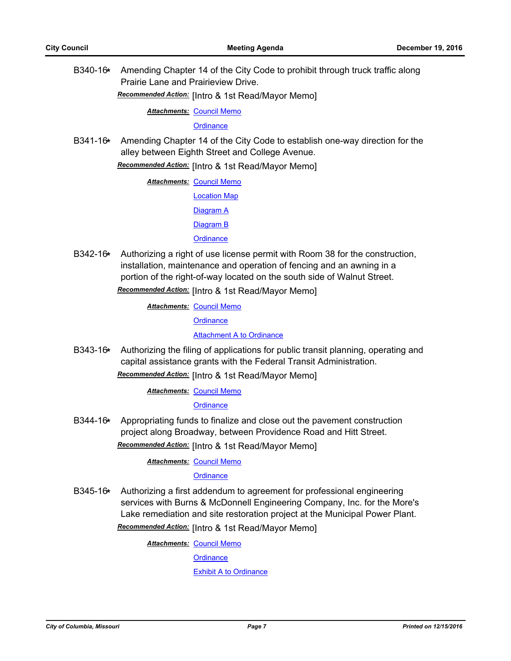B340-16**\*** Amending Chapter 14 of the City Code to prohibit through truck traffic along Prairie Lane and Prairieview Drive.

*Recommended Action:* [Intro & 1st Read/Mayor Memo]

**Attachments: [Council Memo](http://gocolumbiamo.legistar.com/gateway.aspx?M=F&ID=191704c4-e3ff-45eb-b570-ca90d523835e.docx)** 

**[Ordinance](http://gocolumbiamo.legistar.com/gateway.aspx?M=F&ID=02d0bc3d-10c2-474b-9225-aa71d5bcc053.doc)** 

B341-16**\*** Amending Chapter 14 of the City Code to establish one-way direction for the alley between Eighth Street and College Avenue.

*Recommended Action:* [Intro & 1st Read/Mayor Memo]

**Attachments: [Council Memo](http://gocolumbiamo.legistar.com/gateway.aspx?M=F&ID=f4a67909-23ed-47ba-9eae-59c547e4cd30.docx)** 

[Location Map](http://gocolumbiamo.legistar.com/gateway.aspx?M=F&ID=b1eb7559-e540-4f38-97b6-0b73724829fe.pdf)

[Diagram A](http://gocolumbiamo.legistar.com/gateway.aspx?M=F&ID=1c5946f6-e769-4662-b104-a66a8e1e16e6.pdf)

[Diagram B](http://gocolumbiamo.legistar.com/gateway.aspx?M=F&ID=dabb6940-7485-493b-b45f-99cac0281a28.pdf)

**[Ordinance](http://gocolumbiamo.legistar.com/gateway.aspx?M=F&ID=1e8998ac-5195-4763-ac97-cd20e56f2cb1.doc)** 

B342-16**\*** Authorizing a right of use license permit with Room 38 for the construction, installation, maintenance and operation of fencing and an awning in a portion of the right-of-way located on the south side of Walnut Street. *Recommended Action:* [Intro & 1st Read/Mayor Memo]

**Attachments: [Council Memo](http://gocolumbiamo.legistar.com/gateway.aspx?M=F&ID=c9aa042b-8da7-4739-b036-f9a94f332723.docx)** 

**[Ordinance](http://gocolumbiamo.legistar.com/gateway.aspx?M=F&ID=c4ceeeb6-232c-438b-a66b-c16208fc496b.doc)** 

[Attachment A to Ordinance](http://gocolumbiamo.legistar.com/gateway.aspx?M=F&ID=fbae0e8d-1452-4fd7-8812-2eb82835f980.pdf)

B343-16**\*** Authorizing the filing of applications for public transit planning, operating and capital assistance grants with the Federal Transit Administration.

*Recommended Action:* [Intro & 1st Read/Mayor Memo]

**Attachments: [Council Memo](http://gocolumbiamo.legistar.com/gateway.aspx?M=F&ID=e28ea0e5-937f-4a31-89a0-dd607aa054a1.docx)** 

**[Ordinance](http://gocolumbiamo.legistar.com/gateway.aspx?M=F&ID=80946a13-b18b-42fa-b18e-2dfbc8420209.doc)** 

B344-16**\*** Appropriating funds to finalize and close out the pavement construction project along Broadway, between Providence Road and Hitt Street. *Recommended Action:* [Intro & 1st Read/Mayor Memo]

**Attachments: [Council Memo](http://gocolumbiamo.legistar.com/gateway.aspx?M=F&ID=d5300776-0e22-4a49-adee-d96a22990ad5.docx)** 

**[Ordinance](http://gocolumbiamo.legistar.com/gateway.aspx?M=F&ID=fa58ce7c-0712-4036-9c4f-072fbe0118f4.doc)** 

B345-16**\*** Authorizing a first addendum to agreement for professional engineering services with Burns & McDonnell Engineering Company, Inc. for the More's Lake remediation and site restoration project at the Municipal Power Plant.

*Recommended Action:* [Intro & 1st Read/Mayor Memo]

**Attachments: [Council Memo](http://gocolumbiamo.legistar.com/gateway.aspx?M=F&ID=8c6339f9-b45e-48b7-b1f1-a2fc117dca1c.docx)** 

**[Ordinance](http://gocolumbiamo.legistar.com/gateway.aspx?M=F&ID=c0f38d08-32d5-46fe-a09b-3cbe8c409634.doc)**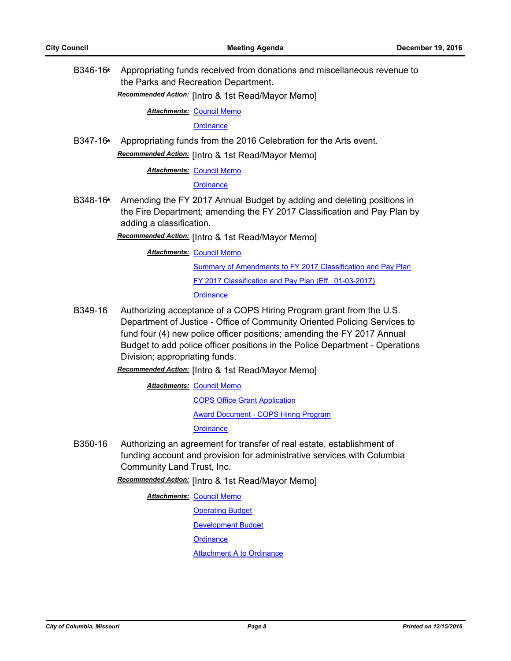B346-16**\*** Appropriating funds received from donations and miscellaneous revenue to the Parks and Recreation Department.

*Recommended Action:* [Intro & 1st Read/Mayor Memo]

**Attachments: [Council Memo](http://gocolumbiamo.legistar.com/gateway.aspx?M=F&ID=71faabe2-7a09-4d56-ab82-48b30776aaaa.docx)** 

**[Ordinance](http://gocolumbiamo.legistar.com/gateway.aspx?M=F&ID=3cb83252-057f-421d-a91c-3640d06c6def.doc)** 

B347-16**\*** Appropriating funds from the 2016 Celebration for the Arts event. *Recommended Action:* [Intro & 1st Read/Mayor Memo]

**Attachments: [Council Memo](http://gocolumbiamo.legistar.com/gateway.aspx?M=F&ID=760f7287-7531-40e0-9ebe-0672270dc077.docx)** 

**[Ordinance](http://gocolumbiamo.legistar.com/gateway.aspx?M=F&ID=eec9d6e4-c7c4-44d7-a386-23714f232189.doc)** 

B348-16**\*** Amending the FY 2017 Annual Budget by adding and deleting positions in the Fire Department; amending the FY 2017 Classification and Pay Plan by adding a classification.

*Recommended Action:* [Intro & 1st Read/Mayor Memo]

**Attachments: [Council Memo](http://gocolumbiamo.legistar.com/gateway.aspx?M=F&ID=f19e0d06-ea0c-43a5-959b-02c2ea764310.docx)** 

[Summary of Amendments to FY 2017 Classification and Pay Plan](http://gocolumbiamo.legistar.com/gateway.aspx?M=F&ID=357ea9d2-32ca-4e34-944e-a5d5cdf3da1b.doc) [FY 2017 Classification and Pay Plan \(Eff. 01-03-2017\)](http://gocolumbiamo.legistar.com/gateway.aspx?M=F&ID=7a0da8e3-8259-455b-8a21-8d43113d2c0e.pdf)

**[Ordinance](http://gocolumbiamo.legistar.com/gateway.aspx?M=F&ID=41a6507a-3739-4698-88d0-a64c8e2c5203.doc)** 

B349-16 Authorizing acceptance of a COPS Hiring Program grant from the U.S. Department of Justice - Office of Community Oriented Policing Services to fund four (4) new police officer positions; amending the FY 2017 Annual Budget to add police officer positions in the Police Department - Operations Division; appropriating funds.

*Recommended Action:* [Intro & 1st Read/Mayor Memo]

**Attachments: [Council Memo](http://gocolumbiamo.legistar.com/gateway.aspx?M=F&ID=8c40b995-a828-48ce-8678-0f56cd7ba1c0.docx)** 

[COPS Office Grant Application](http://gocolumbiamo.legistar.com/gateway.aspx?M=F&ID=14add088-9395-48e9-b0d0-1aca8399ec4f.pdf) [Award Document - COPS Hiring Program](http://gocolumbiamo.legistar.com/gateway.aspx?M=F&ID=5eefa426-daff-4045-8a2a-fd7b46ce36b6.pdf)

**[Ordinance](http://gocolumbiamo.legistar.com/gateway.aspx?M=F&ID=c85ed6d1-30af-4494-8d73-852068ddd784.doc)** 

B350-16 Authorizing an agreement for transfer of real estate, establishment of funding account and provision for administrative services with Columbia Community Land Trust, Inc.

*Recommended Action:* [Intro & 1st Read/Mayor Memo]

**Attachments: [Council Memo](http://gocolumbiamo.legistar.com/gateway.aspx?M=F&ID=fdf0f3b5-f10d-4d94-b6cd-82146f6766da.docx)** 

[Operating Budget](http://gocolumbiamo.legistar.com/gateway.aspx?M=F&ID=ac7b61d2-9bb2-4859-8418-2a30b4e15df0.pdf)

[Development Budget](http://gocolumbiamo.legistar.com/gateway.aspx?M=F&ID=d31fbe18-a445-4a8a-842c-4d9cb138347f.pdf)

**[Ordinance](http://gocolumbiamo.legistar.com/gateway.aspx?M=F&ID=28617f60-351b-41b6-b0b3-b11c0fffe6cb.doc)** 

[Attachment A to Ordinance](http://gocolumbiamo.legistar.com/gateway.aspx?M=F&ID=4662868a-1564-464d-b6d4-668fcfac034c.pdf)